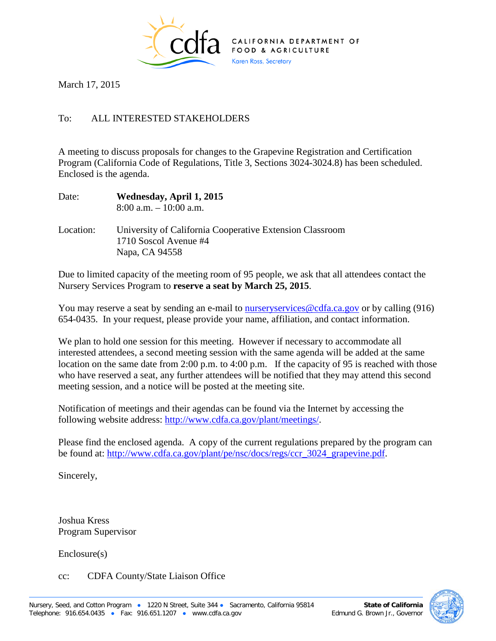

March 17, 2015

## To: ALL INTERESTED STAKEHOLDERS

A meeting to discuss proposals for changes to the Grapevine Registration and Certification Program (California Code of Regulations, Title 3, Sections 3024-3024.8) has been scheduled. Enclosed is the agenda.

| Date:     | Wednesday, April 1, 2015<br>$8:00$ a.m. $-10:00$ a.m.                                               |
|-----------|-----------------------------------------------------------------------------------------------------|
| Location: | University of California Cooperative Extension Classroom<br>1710 Soscol Avenue #4<br>Napa, CA 94558 |

Due to limited capacity of the meeting room of 95 people, we ask that all attendees contact the Nursery Services Program to **reserve a seat by March 25, 2015**.

You may reserve a seat by sending an e-mail to nursery services @cdfa.ca.gov or by calling (916) 654-0435. In your request, please provide your name, affiliation, and contact information.

We plan to hold one session for this meeting. However if necessary to accommodate all interested attendees, a second meeting session with the same agenda will be added at the same location on the same date from 2:00 p.m. to 4:00 p.m. If the capacity of 95 is reached with those who have reserved a seat, any further attendees will be notified that they may attend this second meeting session, and a notice will be posted at the meeting site.

Notification of meetings and their agendas can be found via the Internet by accessing the following website address: [http://www.cdfa.ca.gov/plant/meetings/.](http://www.cdfa.ca.gov/plant/meetings/)

Please find the enclosed agenda. A copy of the current regulations prepared by the program can be found at: [http://www.cdfa.ca.gov/plant/pe/nsc/docs/regs/ccr\\_3024\\_grapevine.pdf.](http://www.cdfa.ca.gov/plant/pe/nsc/docs/regs/ccr_3024_grapevine.pdf)

Sincerely,

Joshua Kress Program Supervisor

Enclosure(s)

## cc: CDFA County/State Liaison Office